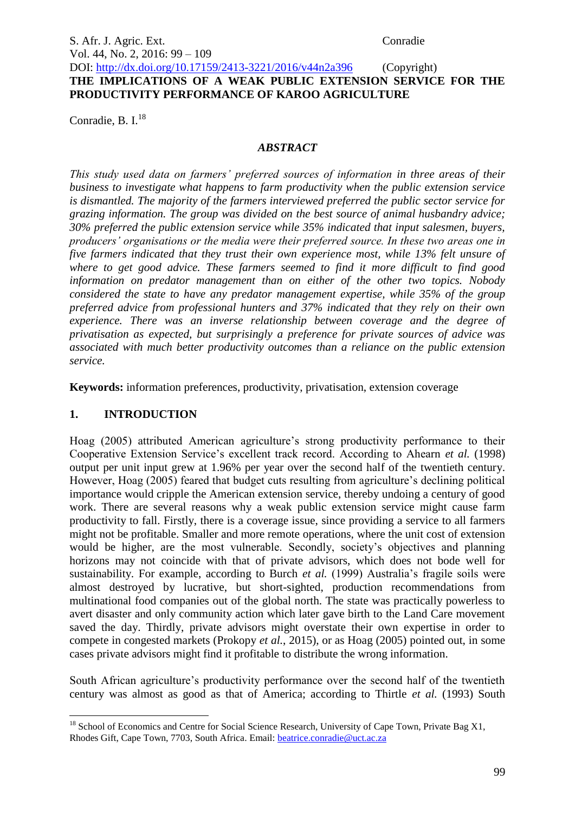### S. Afr. J. Agric. Ext. Conradie Vol. 44, No. 2, 2016: 99 – 109 DOI: http://dx.doi.org/10.17159/2413-3221/2016/v44n2a396 (Copyright) **THE IMPLICATIONS OF A WEAK PUBLIC EXTENSION SERVICE FOR THE**

**PRODUCTIVITY PERFORMANCE OF KAROO AGRICULTURE**

Conradie, B. I. $^{18}$ 

#### *ABSTRACT*

*This study used data on farmers' preferred sources of information in three areas of their business to investigate what happens to farm productivity when the public extension service is dismantled. The majority of the farmers interviewed preferred the public sector service for grazing information. The group was divided on the best source of animal husbandry advice; 30% preferred the public extension service while 35% indicated that input salesmen, buyers, producers' organisations or the media were their preferred source. In these two areas one in five farmers indicated that they trust their own experience most, while 13% felt unsure of where to get good advice. These farmers seemed to find it more difficult to find good information on predator management than on either of the other two topics. Nobody considered the state to have any predator management expertise, while 35% of the group preferred advice from professional hunters and 37% indicated that they rely on their own experience. There was an inverse relationship between coverage and the degree of privatisation as expected, but surprisingly a preference for private sources of advice was associated with much better productivity outcomes than a reliance on the public extension service.*

**Keywords:** information preferences, productivity, privatisation, extension coverage

# **1. INTRODUCTION**

Hoag (2005) attributed American agriculture's strong productivity performance to their Cooperative Extension Service's excellent track record. According to Ahearn *et al.* (1998) output per unit input grew at 1.96% per year over the second half of the twentieth century. However, Hoag (2005) feared that budget cuts resulting from agriculture's declining political importance would cripple the American extension service, thereby undoing a century of good work. There are several reasons why a weak public extension service might cause farm productivity to fall. Firstly, there is a coverage issue, since providing a service to all farmers might not be profitable. Smaller and more remote operations, where the unit cost of extension would be higher, are the most vulnerable. Secondly, society's objectives and planning horizons may not coincide with that of private advisors, which does not bode well for sustainability. For example, according to Burch *et al.* (1999) Australia's fragile soils were almost destroyed by lucrative, but short-sighted, production recommendations from multinational food companies out of the global north. The state was practically powerless to avert disaster and only community action which later gave birth to the Land Care movement saved the day. Thirdly, private advisors might overstate their own expertise in order to compete in congested markets (Prokopy *et al.*, 2015), or as Hoag (2005) pointed out, in some cases private advisors might find it profitable to distribute the wrong information.

South African agriculture's productivity performance over the second half of the twentieth century was almost as good as that of America; according to Thirtle *et al.* (1993) South

<sup>1</sup>  $18$  School of Economics and Centre for Social Science Research, University of Cape Town, Private Bag X1, Rhodes Gift, Cape Town, 7703, South Africa. Email: [beatrice.conradie@uct.ac.za](mailto:beatrice.conradie@uct.ac.za)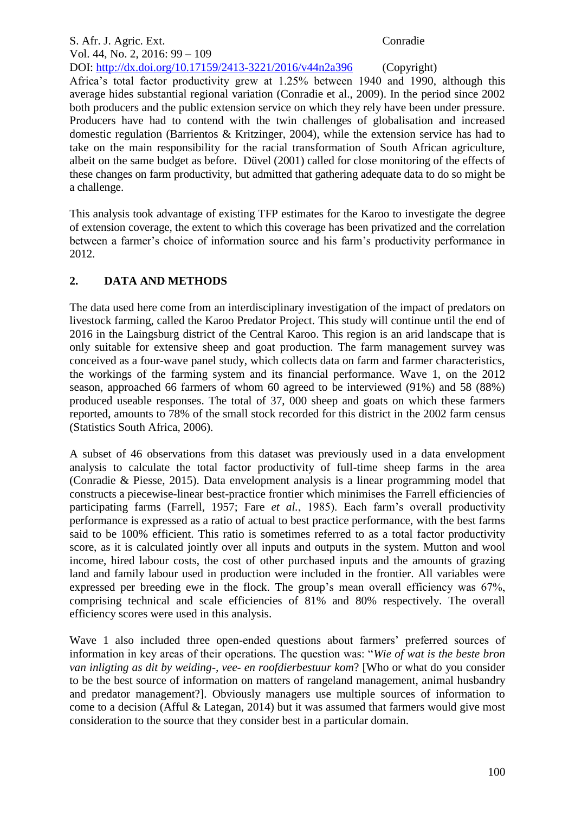# S. Afr. J. Agric. Ext. Conradie Vol. 44, No. 2, 2016: 99 – 109 DOI: http://dx.doi.org/10.17159/2413-3221/2016/v44n2a396 (Copyright) Africa's total factor productivity grew at 1.25% between 1940 and 1990, although this average hides substantial regional variation (Conradie et al., 2009). In the period since 2002 both producers and the public extension service on which they rely have been under pressure. Producers have had to contend with the twin challenges of globalisation and increased domestic regulation (Barrientos & Kritzinger, 2004), while the extension service has had to take on the main responsibility for the racial transformation of South African agriculture, albeit on the same budget as before. Düvel (2001) called for close monitoring of the effects of these changes on farm productivity, but admitted that gathering adequate data to do so might be a challenge.

This analysis took advantage of existing TFP estimates for the Karoo to investigate the degree of extension coverage, the extent to which this coverage has been privatized and the correlation between a farmer's choice of information source and his farm's productivity performance in 2012.

# **2. DATA AND METHODS**

The data used here come from an interdisciplinary investigation of the impact of predators on livestock farming, called the Karoo Predator Project. This study will continue until the end of 2016 in the Laingsburg district of the Central Karoo. This region is an arid landscape that is only suitable for extensive sheep and goat production. The farm management survey was conceived as a four-wave panel study, which collects data on farm and farmer characteristics, the workings of the farming system and its financial performance. Wave 1, on the 2012 season, approached 66 farmers of whom 60 agreed to be interviewed (91%) and 58 (88%) produced useable responses. The total of 37, 000 sheep and goats on which these farmers reported, amounts to 78% of the small stock recorded for this district in the 2002 farm census (Statistics South Africa, 2006).

A subset of 46 observations from this dataset was previously used in a data envelopment analysis to calculate the total factor productivity of full-time sheep farms in the area (Conradie & Piesse, 2015). Data envelopment analysis is a linear programming model that constructs a piecewise-linear best-practice frontier which minimises the Farrell efficiencies of participating farms (Farrell, 1957; Fare *et al.*, 1985). Each farm's overall productivity performance is expressed as a ratio of actual to best practice performance, with the best farms said to be 100% efficient. This ratio is sometimes referred to as a total factor productivity score, as it is calculated jointly over all inputs and outputs in the system. Mutton and wool income, hired labour costs, the cost of other purchased inputs and the amounts of grazing land and family labour used in production were included in the frontier. All variables were expressed per breeding ewe in the flock. The group's mean overall efficiency was 67%, comprising technical and scale efficiencies of 81% and 80% respectively. The overall efficiency scores were used in this analysis.

Wave 1 also included three open-ended questions about farmers' preferred sources of information in key areas of their operations. The question was: "*Wie of wat is the beste bron van inligting as dit by weiding-, vee- en roofdierbestuur kom*? [Who or what do you consider to be the best source of information on matters of rangeland management, animal husbandry and predator management?]. Obviously managers use multiple sources of information to come to a decision (Afful & Lategan, 2014) but it was assumed that farmers would give most consideration to the source that they consider best in a particular domain.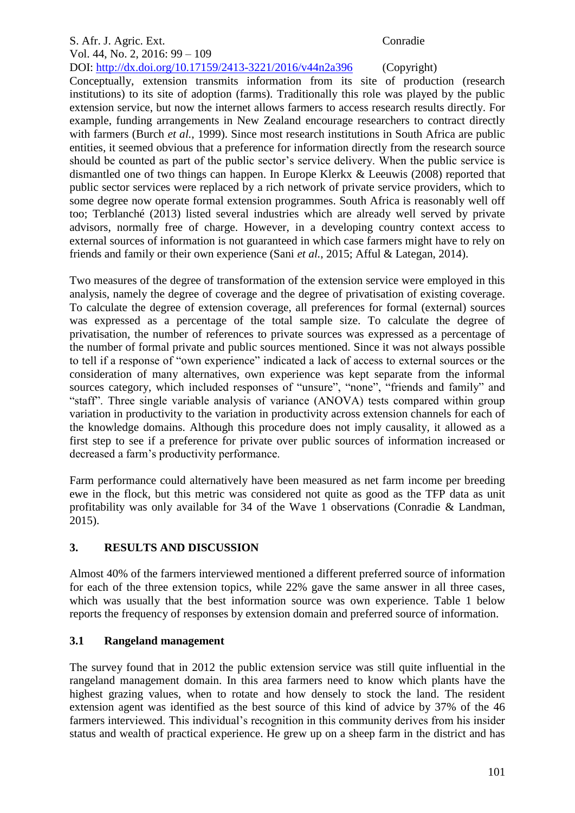# S. Afr. J. Agric. Ext. Conradie Vol. 44, No. 2, 2016: 99 – 109

DOI: http://dx.doi.org/10.17159/2413-3221/2016/v44n2a396 (Copyright) Conceptually, extension transmits information from its site of production (research institutions) to its site of adoption (farms). Traditionally this role was played by the public extension service, but now the internet allows farmers to access research results directly. For example, funding arrangements in New Zealand encourage researchers to contract directly with farmers (Burch *et al.*, 1999). Since most research institutions in South Africa are public entities, it seemed obvious that a preference for information directly from the research source should be counted as part of the public sector's service delivery. When the public service is dismantled one of two things can happen. In Europe Klerkx & Leeuwis (2008) reported that public sector services were replaced by a rich network of private service providers, which to some degree now operate formal extension programmes. South Africa is reasonably well off too; Terblanché (2013) listed several industries which are already well served by private advisors, normally free of charge. However, in a developing country context access to external sources of information is not guaranteed in which case farmers might have to rely on friends and family or their own experience (Sani *et al.*, 2015; Afful & Lategan, 2014).

Two measures of the degree of transformation of the extension service were employed in this analysis, namely the degree of coverage and the degree of privatisation of existing coverage. To calculate the degree of extension coverage, all preferences for formal (external) sources was expressed as a percentage of the total sample size. To calculate the degree of privatisation, the number of references to private sources was expressed as a percentage of the number of formal private and public sources mentioned. Since it was not always possible to tell if a response of "own experience" indicated a lack of access to external sources or the consideration of many alternatives, own experience was kept separate from the informal sources category, which included responses of "unsure", "none", "friends and family" and "staff". Three single variable analysis of variance (ANOVA) tests compared within group variation in productivity to the variation in productivity across extension channels for each of the knowledge domains. Although this procedure does not imply causality, it allowed as a first step to see if a preference for private over public sources of information increased or decreased a farm's productivity performance.

Farm performance could alternatively have been measured as net farm income per breeding ewe in the flock, but this metric was considered not quite as good as the TFP data as unit profitability was only available for 34 of the Wave 1 observations (Conradie & Landman, 2015).

# **3. RESULTS AND DISCUSSION**

Almost 40% of the farmers interviewed mentioned a different preferred source of information for each of the three extension topics, while 22% gave the same answer in all three cases, which was usually that the best information source was own experience. Table 1 below reports the frequency of responses by extension domain and preferred source of information.

# **3.1 Rangeland management**

The survey found that in 2012 the public extension service was still quite influential in the rangeland management domain. In this area farmers need to know which plants have the highest grazing values, when to rotate and how densely to stock the land. The resident extension agent was identified as the best source of this kind of advice by 37% of the 46 farmers interviewed. This individual's recognition in this community derives from his insider status and wealth of practical experience. He grew up on a sheep farm in the district and has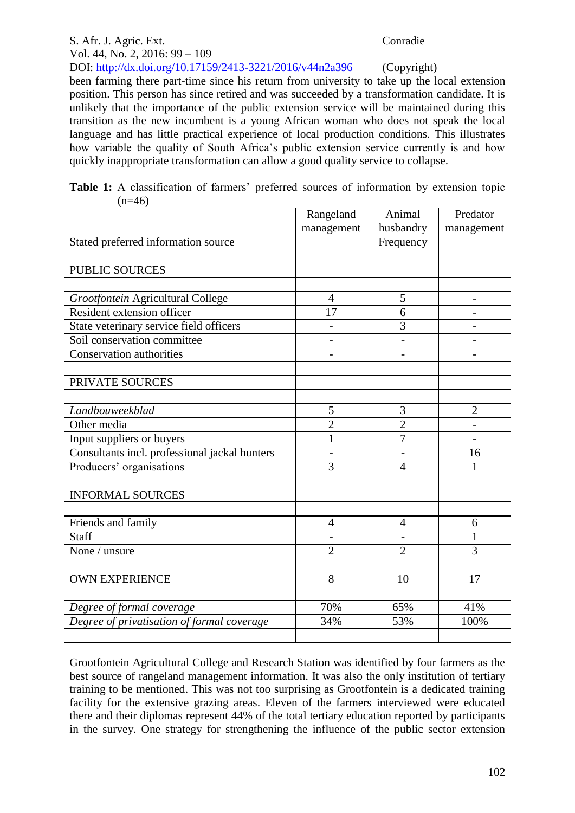#### S. Afr. J. Agric. Ext. Conradie Vol. 44, No. 2, 2016: 99 – 109 DOI: http://dx.doi.org/10.17159/2413-3221/2016/v44n2a396 (Copyright)

been farming there part-time since his return from university to take up the local extension position. This person has since retired and was succeeded by a transformation candidate. It is unlikely that the importance of the public extension service will be maintained during this transition as the new incumbent is a young African woman who does not speak the local language and has little practical experience of local production conditions. This illustrates how variable the quality of South Africa's public extension service currently is and how quickly inappropriate transformation can allow a good quality service to collapse.

|  | Table 1: A classification of farmers' preferred sources of information by extension topic |  |  |  |  |  |
|--|-------------------------------------------------------------------------------------------|--|--|--|--|--|
|  | $(n=46)$                                                                                  |  |  |  |  |  |

|                                               | Rangeland<br>management  | Animal<br>husbandry | Predator       |
|-----------------------------------------------|--------------------------|---------------------|----------------|
| Stated preferred information source           |                          | Frequency           | management     |
|                                               |                          |                     |                |
| <b>PUBLIC SOURCES</b>                         |                          |                     |                |
|                                               |                          |                     |                |
| Grootfontein Agricultural College             | $\overline{4}$           | 5                   |                |
| Resident extension officer                    | 17                       | 6                   |                |
| State veterinary service field officers       |                          | 3                   |                |
| Soil conservation committee                   |                          |                     |                |
| Conservation authorities                      |                          |                     |                |
|                                               |                          |                     |                |
| PRIVATE SOURCES                               |                          |                     |                |
|                                               |                          |                     |                |
| Landbouweekblad                               | 5                        | 3                   | $\overline{2}$ |
| Other media                                   | $\overline{c}$           | $\overline{2}$      |                |
| Input suppliers or buyers                     | $\mathbf{1}$             | $\overline{7}$      |                |
| Consultants incl. professional jackal hunters | $\overline{\phantom{0}}$ |                     | 16             |
| Producers' organisations                      | 3                        | $\overline{4}$      | 1              |
|                                               |                          |                     |                |
| <b>INFORMAL SOURCES</b>                       |                          |                     |                |
|                                               |                          |                     |                |
| Friends and family                            | 4                        | $\overline{4}$      | 6              |
| <b>Staff</b>                                  |                          |                     | 1              |
| None / unsure                                 | $\overline{2}$           | $\overline{2}$      | 3              |
|                                               |                          |                     |                |
| <b>OWN EXPERIENCE</b>                         | 8                        | 10                  | 17             |
|                                               |                          |                     |                |
| Degree of formal coverage                     | 70%                      | 65%                 | 41%            |
| Degree of privatisation of formal coverage    | 34%                      | 53%                 | 100%           |
|                                               |                          |                     |                |

Grootfontein Agricultural College and Research Station was identified by four farmers as the best source of rangeland management information. It was also the only institution of tertiary training to be mentioned. This was not too surprising as Grootfontein is a dedicated training facility for the extensive grazing areas. Eleven of the farmers interviewed were educated there and their diplomas represent 44% of the total tertiary education reported by participants in the survey. One strategy for strengthening the influence of the public sector extension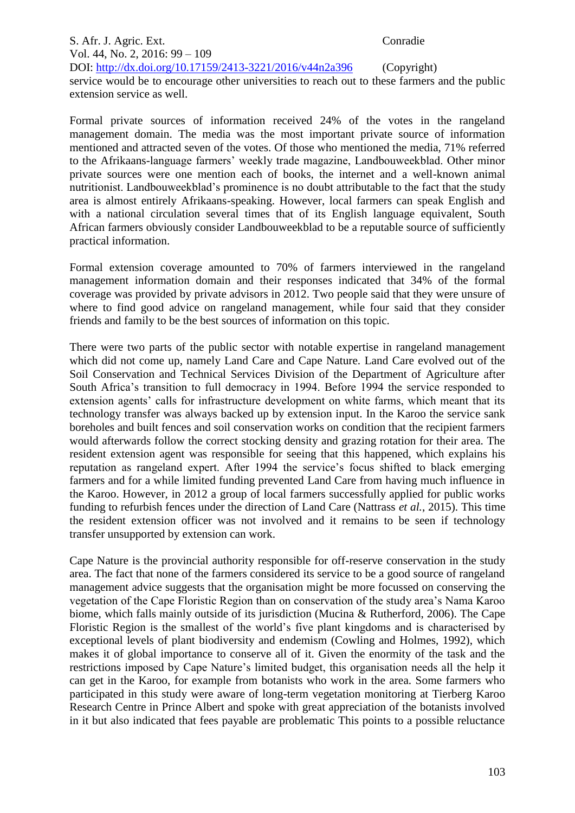S. Afr. J. Agric. Ext. Conradie Vol. 44, No. 2, 2016: 99 – 109 DOI: http://dx.doi.org/10.17159/2413-3221/2016/v44n2a396 (Copyright) service would be to encourage other universities to reach out to these farmers and the public extension service as well.

Formal private sources of information received 24% of the votes in the rangeland management domain. The media was the most important private source of information mentioned and attracted seven of the votes. Of those who mentioned the media, 71% referred to the Afrikaans-language farmers' weekly trade magazine, Landbouweekblad. Other minor private sources were one mention each of books, the internet and a well-known animal nutritionist. Landbouweekblad's prominence is no doubt attributable to the fact that the study area is almost entirely Afrikaans-speaking. However, local farmers can speak English and with a national circulation several times that of its English language equivalent, South African farmers obviously consider Landbouweekblad to be a reputable source of sufficiently practical information.

Formal extension coverage amounted to 70% of farmers interviewed in the rangeland management information domain and their responses indicated that 34% of the formal coverage was provided by private advisors in 2012. Two people said that they were unsure of where to find good advice on rangeland management, while four said that they consider friends and family to be the best sources of information on this topic.

There were two parts of the public sector with notable expertise in rangeland management which did not come up, namely Land Care and Cape Nature. Land Care evolved out of the Soil Conservation and Technical Services Division of the Department of Agriculture after South Africa's transition to full democracy in 1994. Before 1994 the service responded to extension agents' calls for infrastructure development on white farms, which meant that its technology transfer was always backed up by extension input. In the Karoo the service sank boreholes and built fences and soil conservation works on condition that the recipient farmers would afterwards follow the correct stocking density and grazing rotation for their area. The resident extension agent was responsible for seeing that this happened, which explains his reputation as rangeland expert. After 1994 the service's focus shifted to black emerging farmers and for a while limited funding prevented Land Care from having much influence in the Karoo. However, in 2012 a group of local farmers successfully applied for public works funding to refurbish fences under the direction of Land Care (Nattrass *et al.*, 2015). This time the resident extension officer was not involved and it remains to be seen if technology transfer unsupported by extension can work.

Cape Nature is the provincial authority responsible for off-reserve conservation in the study area. The fact that none of the farmers considered its service to be a good source of rangeland management advice suggests that the organisation might be more focussed on conserving the vegetation of the Cape Floristic Region than on conservation of the study area's Nama Karoo biome, which falls mainly outside of its jurisdiction (Mucina & Rutherford, 2006). The Cape Floristic Region is the smallest of the world's five plant kingdoms and is characterised by exceptional levels of plant biodiversity and endemism (Cowling and Holmes, 1992), which makes it of global importance to conserve all of it. Given the enormity of the task and the restrictions imposed by Cape Nature's limited budget, this organisation needs all the help it can get in the Karoo, for example from botanists who work in the area. Some farmers who participated in this study were aware of long-term vegetation monitoring at Tierberg Karoo Research Centre in Prince Albert and spoke with great appreciation of the botanists involved in it but also indicated that fees payable are problematic This points to a possible reluctance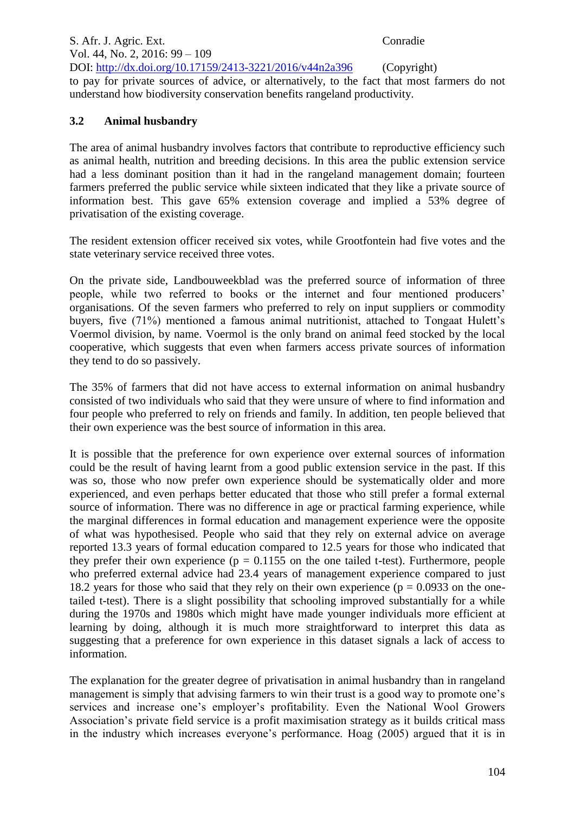S. Afr. J. Agric. Ext. Conradie Vol. 44, No. 2, 2016: 99 – 109 DOI: http://dx.doi.org/10.17159/2413-3221/2016/v44n2a396 (Copyright) to pay for private sources of advice, or alternatively, to the fact that most farmers do not understand how biodiversity conservation benefits rangeland productivity.

# **3.2 Animal husbandry**

The area of animal husbandry involves factors that contribute to reproductive efficiency such as animal health, nutrition and breeding decisions. In this area the public extension service had a less dominant position than it had in the rangeland management domain; fourteen farmers preferred the public service while sixteen indicated that they like a private source of information best. This gave 65% extension coverage and implied a 53% degree of privatisation of the existing coverage.

The resident extension officer received six votes, while Grootfontein had five votes and the state veterinary service received three votes.

On the private side, Landbouweekblad was the preferred source of information of three people, while two referred to books or the internet and four mentioned producers' organisations. Of the seven farmers who preferred to rely on input suppliers or commodity buyers, five (71%) mentioned a famous animal nutritionist, attached to Tongaat Hulett's Voermol division, by name. Voermol is the only brand on animal feed stocked by the local cooperative, which suggests that even when farmers access private sources of information they tend to do so passively.

The 35% of farmers that did not have access to external information on animal husbandry consisted of two individuals who said that they were unsure of where to find information and four people who preferred to rely on friends and family. In addition, ten people believed that their own experience was the best source of information in this area.

It is possible that the preference for own experience over external sources of information could be the result of having learnt from a good public extension service in the past. If this was so, those who now prefer own experience should be systematically older and more experienced, and even perhaps better educated that those who still prefer a formal external source of information. There was no difference in age or practical farming experience, while the marginal differences in formal education and management experience were the opposite of what was hypothesised. People who said that they rely on external advice on average reported 13.3 years of formal education compared to 12.5 years for those who indicated that they prefer their own experience ( $p = 0.1155$  on the one tailed t-test). Furthermore, people who preferred external advice had 23.4 years of management experience compared to just 18.2 years for those who said that they rely on their own experience ( $p = 0.0933$  on the onetailed t-test). There is a slight possibility that schooling improved substantially for a while during the 1970s and 1980s which might have made younger individuals more efficient at learning by doing, although it is much more straightforward to interpret this data as suggesting that a preference for own experience in this dataset signals a lack of access to information.

The explanation for the greater degree of privatisation in animal husbandry than in rangeland management is simply that advising farmers to win their trust is a good way to promote one's services and increase one's employer's profitability. Even the National Wool Growers Association's private field service is a profit maximisation strategy as it builds critical mass in the industry which increases everyone's performance. Hoag (2005) argued that it is in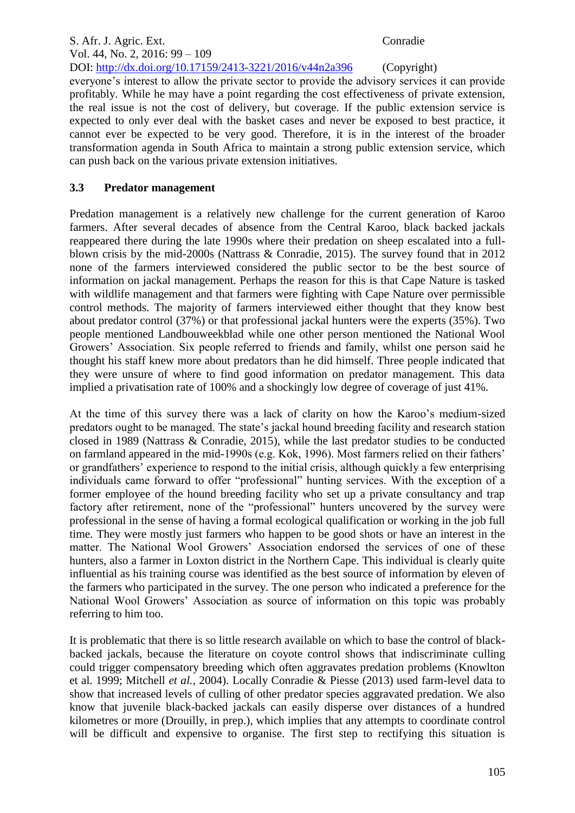### S. Afr. J. Agric. Ext. Conradie Vol. 44, No. 2, 2016: 99 – 109 DOI: http://dx.doi.org/10.17159/2413-3221/2016/v44n2a396 (Copyright) everyone's interest to allow the private sector to provide the advisory services it can provide profitably. While he may have a point regarding the cost effectiveness of private extension, the real issue is not the cost of delivery, but coverage. If the public extension service is expected to only ever deal with the basket cases and never be exposed to best practice, it cannot ever be expected to be very good. Therefore, it is in the interest of the broader transformation agenda in South Africa to maintain a strong public extension service, which can push back on the various private extension initiatives.

# **3.3 Predator management**

Predation management is a relatively new challenge for the current generation of Karoo farmers. After several decades of absence from the Central Karoo, black backed jackals reappeared there during the late 1990s where their predation on sheep escalated into a fullblown crisis by the mid-2000s (Nattrass & Conradie, 2015). The survey found that in 2012 none of the farmers interviewed considered the public sector to be the best source of information on jackal management. Perhaps the reason for this is that Cape Nature is tasked with wildlife management and that farmers were fighting with Cape Nature over permissible control methods. The majority of farmers interviewed either thought that they know best about predator control (37%) or that professional jackal hunters were the experts (35%). Two people mentioned Landbouweekblad while one other person mentioned the National Wool Growers' Association. Six people referred to friends and family, whilst one person said he thought his staff knew more about predators than he did himself. Three people indicated that they were unsure of where to find good information on predator management. This data implied a privatisation rate of 100% and a shockingly low degree of coverage of just 41%.

At the time of this survey there was a lack of clarity on how the Karoo's medium-sized predators ought to be managed. The state's jackal hound breeding facility and research station closed in 1989 (Nattrass & Conradie, 2015), while the last predator studies to be conducted on farmland appeared in the mid-1990s (e.g. Kok, 1996). Most farmers relied on their fathers' or grandfathers' experience to respond to the initial crisis, although quickly a few enterprising individuals came forward to offer "professional" hunting services. With the exception of a former employee of the hound breeding facility who set up a private consultancy and trap factory after retirement, none of the "professional" hunters uncovered by the survey were professional in the sense of having a formal ecological qualification or working in the job full time. They were mostly just farmers who happen to be good shots or have an interest in the matter. The National Wool Growers' Association endorsed the services of one of these hunters, also a farmer in Loxton district in the Northern Cape. This individual is clearly quite influential as his training course was identified as the best source of information by eleven of the farmers who participated in the survey. The one person who indicated a preference for the National Wool Growers' Association as source of information on this topic was probably referring to him too.

It is problematic that there is so little research available on which to base the control of blackbacked jackals, because the literature on coyote control shows that indiscriminate culling could trigger compensatory breeding which often aggravates predation problems (Knowlton et al. 1999; Mitchell *et al.,* 2004). Locally Conradie & Piesse (2013) used farm-level data to show that increased levels of culling of other predator species aggravated predation. We also know that juvenile black-backed jackals can easily disperse over distances of a hundred kilometres or more (Drouilly, in prep.), which implies that any attempts to coordinate control will be difficult and expensive to organise. The first step to rectifying this situation is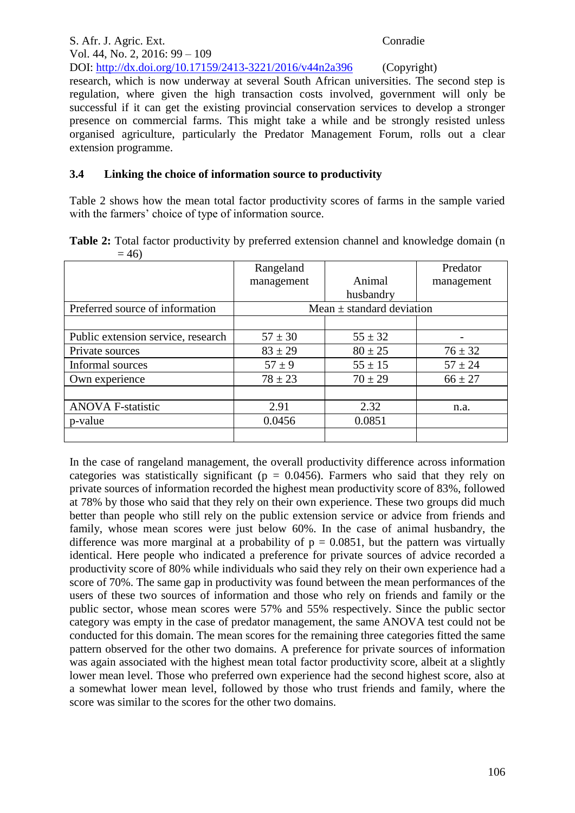S. Afr. J. Agric. Ext. Conradie Vol. 44, No. 2, 2016: 99 – 109 DOI: http://dx.doi.org/10.17159/2413-3221/2016/v44n2a396 (Copyright) research, which is now underway at several South African universities. The second step is regulation, where given the high transaction costs involved, government will only be successful if it can get the existing provincial conservation services to develop a stronger presence on commercial farms. This might take a while and be strongly resisted unless organised agriculture, particularly the Predator Management Forum, rolls out a clear extension programme.

### **3.4 Linking the choice of information source to productivity**

Table 2 shows how the mean total factor productivity scores of farms in the sample varied with the farmers' choice of type of information source.

|        | Table 2: Total factor productivity by preferred extension channel and knowledge domain (n |  |  |  |  |
|--------|-------------------------------------------------------------------------------------------|--|--|--|--|
| $= 46$ |                                                                                           |  |  |  |  |

|                                    | Rangeland                     |             | Predator    |  |  |  |  |
|------------------------------------|-------------------------------|-------------|-------------|--|--|--|--|
|                                    | management                    | Animal      | management  |  |  |  |  |
|                                    |                               | husbandry   |             |  |  |  |  |
| Preferred source of information    | Mean $\pm$ standard deviation |             |             |  |  |  |  |
|                                    |                               |             |             |  |  |  |  |
| Public extension service, research | $57 \pm 30$                   | $55 \pm 32$ |             |  |  |  |  |
| Private sources                    | $83 \pm 29$                   | $80 \pm 25$ | $76 \pm 32$ |  |  |  |  |
| Informal sources                   | $57 \pm 9$                    | $55 \pm 15$ | $57 \pm 24$ |  |  |  |  |
| Own experience                     | $78 \pm 23$                   | $70 \pm 29$ | $66 \pm 27$ |  |  |  |  |
|                                    |                               |             |             |  |  |  |  |
| <b>ANOVA F-statistic</b>           | 2.91                          | 2.32        | n.a.        |  |  |  |  |
| p-value                            | 0.0456                        | 0.0851      |             |  |  |  |  |
|                                    |                               |             |             |  |  |  |  |

In the case of rangeland management, the overall productivity difference across information categories was statistically significant ( $p = 0.0456$ ). Farmers who said that they rely on private sources of information recorded the highest mean productivity score of 83%, followed at 78% by those who said that they rely on their own experience. These two groups did much better than people who still rely on the public extension service or advice from friends and family, whose mean scores were just below 60%. In the case of animal husbandry, the difference was more marginal at a probability of  $p = 0.0851$ , but the pattern was virtually identical. Here people who indicated a preference for private sources of advice recorded a productivity score of 80% while individuals who said they rely on their own experience had a score of 70%. The same gap in productivity was found between the mean performances of the users of these two sources of information and those who rely on friends and family or the public sector, whose mean scores were 57% and 55% respectively. Since the public sector category was empty in the case of predator management, the same ANOVA test could not be conducted for this domain. The mean scores for the remaining three categories fitted the same pattern observed for the other two domains. A preference for private sources of information was again associated with the highest mean total factor productivity score, albeit at a slightly lower mean level. Those who preferred own experience had the second highest score, also at a somewhat lower mean level, followed by those who trust friends and family, where the score was similar to the scores for the other two domains.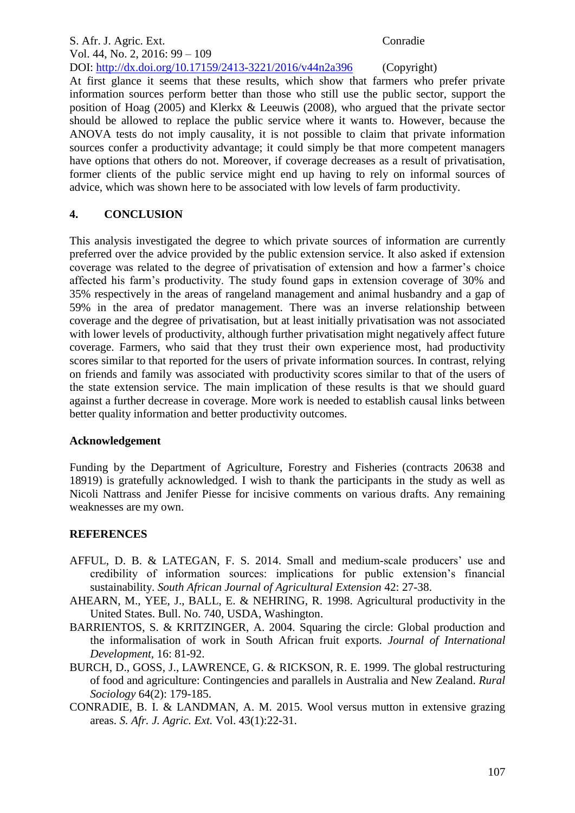#### S. Afr. J. Agric. Ext. Conradie Vol. 44, No. 2, 2016: 99 – 109 DOI: http://dx.doi.org/10.17159/2413-3221/2016/v44n2a396 (Copyright)

At first glance it seems that these results, which show that farmers who prefer private information sources perform better than those who still use the public sector, support the position of Hoag (2005) and Klerkx & Leeuwis (2008), who argued that the private sector should be allowed to replace the public service where it wants to. However, because the ANOVA tests do not imply causality, it is not possible to claim that private information sources confer a productivity advantage; it could simply be that more competent managers have options that others do not. Moreover, if coverage decreases as a result of privatisation, former clients of the public service might end up having to rely on informal sources of advice, which was shown here to be associated with low levels of farm productivity.

# **4. CONCLUSION**

This analysis investigated the degree to which private sources of information are currently preferred over the advice provided by the public extension service. It also asked if extension coverage was related to the degree of privatisation of extension and how a farmer's choice affected his farm's productivity. The study found gaps in extension coverage of 30% and 35% respectively in the areas of rangeland management and animal husbandry and a gap of 59% in the area of predator management. There was an inverse relationship between coverage and the degree of privatisation, but at least initially privatisation was not associated with lower levels of productivity, although further privatisation might negatively affect future coverage. Farmers, who said that they trust their own experience most, had productivity scores similar to that reported for the users of private information sources. In contrast, relying on friends and family was associated with productivity scores similar to that of the users of the state extension service. The main implication of these results is that we should guard against a further decrease in coverage. More work is needed to establish causal links between better quality information and better productivity outcomes.

# **Acknowledgement**

Funding by the Department of Agriculture, Forestry and Fisheries (contracts 20638 and 18919) is gratefully acknowledged. I wish to thank the participants in the study as well as Nicoli Nattrass and Jenifer Piesse for incisive comments on various drafts. Any remaining weaknesses are my own.

# **REFERENCES**

- AFFUL, D. B. & LATEGAN, F. S. 2014. Small and medium-scale producers' use and credibility of information sources: implications for public extension's financial sustainability. *South African Journal of Agricultural Extension* 42: 27-38.
- AHEARN, M., YEE, J., BALL, E. & NEHRING, R. 1998. Agricultural productivity in the United States. Bull. No. 740, USDA, Washington.
- BARRIENTOS, S. & KRITZINGER, A. 2004. Squaring the circle: Global production and the informalisation of work in South African fruit exports. *Journal of International Development,* 16: 81-92.
- BURCH, D., GOSS, J., LAWRENCE, G. & RICKSON, R. E. 1999. The global restructuring of food and agriculture: Contingencies and parallels in Australia and New Zealand. *Rural Sociology* 64(2): 179-185.
- CONRADIE, B. I. & LANDMAN, A. M. 2015. Wool versus mutton in extensive grazing areas. *S. Afr. J. Agric. Ext.* Vol. 43(1):22-31.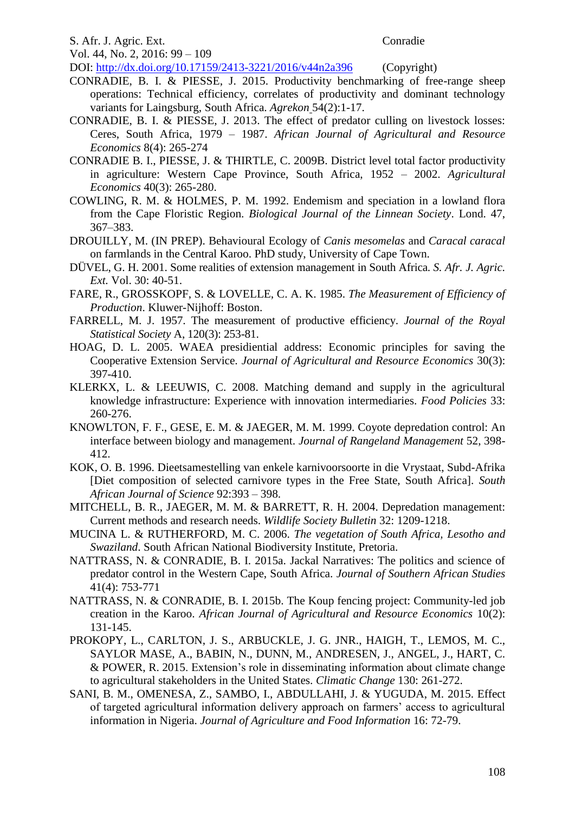#### S. Afr. J. Agric. Ext. Conradie

Vol. 44, No. 2, 2016: 99 – 109

DOI: http://dx.doi.org/10.17159/2413-3221/2016/v44n2a396 (Copyright)

- CONRADIE, B. I. & PIESSE, J. 2015. Productivity benchmarking of free-range sheep operations: Technical efficiency, correlates of productivity and dominant technology variants for Laingsburg, South Africa. *Agrekon* 54(2):1-17.
- CONRADIE, B. I. & PIESSE, J. 2013. The effect of predator culling on livestock losses: Ceres, South Africa, 1979 – 1987. *African Journal of Agricultural and Resource Economics* 8(4): 265-274
- CONRADIE B. I., PIESSE, J. & THIRTLE, C. 2009B. District level total factor productivity in agriculture: Western Cape Province, South Africa, 1952 – 2002. *Agricultural Economics* 40(3): 265-280.
- COWLING, R. M. & HOLMES, P. M. 1992. Endemism and speciation in a lowland flora from the Cape Floristic Region. *Biological Journal of the Linnean Society*. Lond. 47, 367–383.
- DROUILLY, M. (IN PREP). Behavioural Ecology of *Canis mesomelas* and *Caracal caracal* on farmlands in the Central Karoo. PhD study, University of Cape Town.
- DÜVEL, G. H. 2001. Some realities of extension management in South Africa. *S. Afr. J. Agric. Ext.* Vol. 30: 40-51.
- FARE, R., GROSSKOPF, S. & LOVELLE, C. A. K. 1985. *The Measurement of Efficiency of Production*. Kluwer-Nijhoff: Boston.
- FARRELL, M. J. 1957. The measurement of productive efficiency. *Journal of the Royal Statistical Society* A, 120(3): 253-81.
- HOAG, D. L. 2005. WAEA presidiential address: Economic principles for saving the Cooperative Extension Service. *Journal of Agricultural and Resource Economics* 30(3): 397-410.
- KLERKX, L. & LEEUWIS, C. 2008. Matching demand and supply in the agricultural knowledge infrastructure: Experience with innovation intermediaries. *Food Policies* 33: 260-276.
- KNOWLTON, F. F., GESE, E. M. & JAEGER, M. M. 1999. Coyote depredation control: An interface between biology and management. *Journal of Rangeland Management* 52, 398- 412.
- KOK, O. B. 1996. Dieetsamestelling van enkele karnivoorsoorte in die Vrystaat, Subd-Afrika [Diet composition of selected carnivore types in the Free State, South Africa]. *South African Journal of Science* 92:393 – 398.
- MITCHELL, B. R., JAEGER, M. M. & BARRETT, R. H. 2004. Depredation management: Current methods and research needs. *Wildlife Society Bulletin* 32: 1209-1218.
- MUCINA L. & RUTHERFORD, M. C. 2006. *The vegetation of South Africa, Lesotho and Swaziland*. South African National Biodiversity Institute, Pretoria.
- NATTRASS, N. & CONRADIE, B. I. 2015a. Jackal Narratives: The politics and science of predator control in the Western Cape, South Africa. *Journal of Southern African Studies* 41(4): 753-771
- NATTRASS, N. & CONRADIE, B. I. 2015b. The Koup fencing project: Community-led job creation in the Karoo. *African Journal of Agricultural and Resource Economics* 10(2): 131-145.
- PROKOPY, L., CARLTON, J. S., ARBUCKLE, J. G. JNR., HAIGH, T., LEMOS, M. C., SAYLOR MASE, A., BABIN, N., DUNN, M., ANDRESEN, J., ANGEL, J., HART, C. & POWER, R. 2015. Extension's role in disseminating information about climate change to agricultural stakeholders in the United States. *Climatic Change* 130: 261-272.
- SANI, B. M., OMENESA, Z., SAMBO, I., ABDULLAHI, J. & YUGUDA, M. 2015. Effect of targeted agricultural information delivery approach on farmers' access to agricultural information in Nigeria. *Journal of Agriculture and Food Information* 16: 72-79.